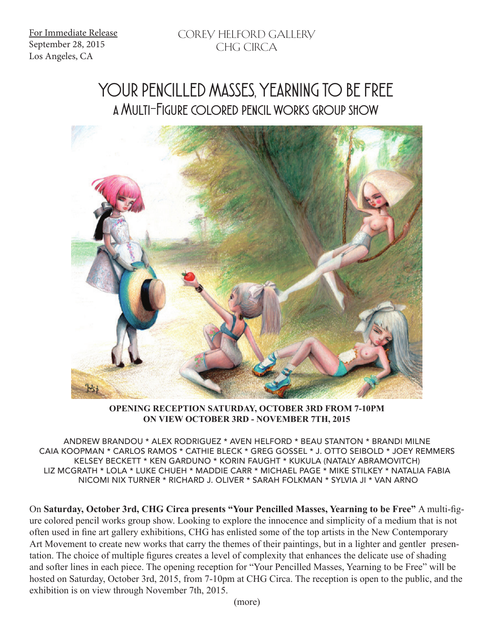For Immediate Release September 28, 2015 Los Angeles, CA

## YOUR PENCILLED MASSES, YEARNING TO BE FREE a Multi-Figure colored pencil works group show



**OPENING RECEPTION SATURDAY, OCTOBER 3RD FROM 7-10PM ON VIEW OCTOBER 3RD - NOVEMBER 7TH, 2015**

ANDREW BRANDOU \* ALEX RODRIGUEZ \* AVEN HELFORD \* BEAU STANTON \* BRANDI MILNE CAIA KOOPMAN \* CARLOS RAMOS \* CATHIE BLECK \* GREG GOSSEL \* J. OTTO SEIBOLD \* JOEY REMMERS KELSEY BECKETT \* KEN GARDUNO \* KORIN FAUGHT \* KUKULA (NATALY ABRAMOVITCH) LIZ MCGRATH \* LOLA \* LUKE CHUEH \* MADDIE CARR \* MICHAEL PAGE \* MIKE STILKEY \* NATALIA FABIA NICOMI NIX TURNER \* RICHARD J. OLIVER \* SARAH FOLKMAN \* SYLVIA JI \* VAN ARNO

On **Saturday, October 3rd, CHG Circa presents "Your Pencilled Masses, Yearning to be Free"** A multi-figure colored pencil works group show. Looking to explore the innocence and simplicity of a medium that is not often used in fine art gallery exhibitions, CHG has enlisted some of the top artists in the New Contemporary Art Movement to create new works that carry the themes of their paintings, but in a lighter and gentler presentation. The choice of multiple figures creates a level of complexity that enhances the delicate use of shading and softer lines in each piece. The opening reception for "Your Pencilled Masses, Yearning to be Free" will be hosted on Saturday, October 3rd, 2015, from 7-10pm at CHG Circa. The reception is open to the public, and the exhibition is on view through November 7th, 2015.